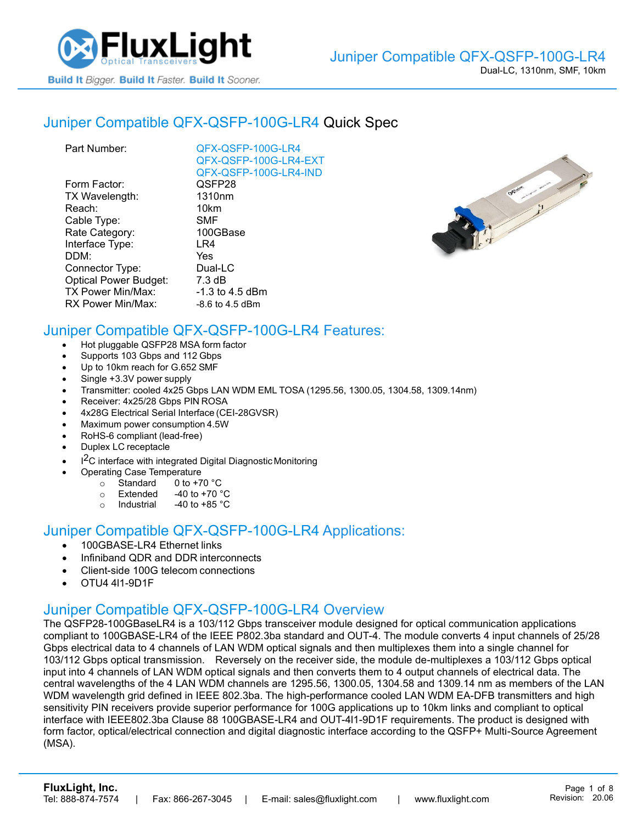

### Juniper [Compatible QFX-QSFP-100G-LR4](https://www.fluxlight.com/qfx-qsfp-100g-lr4/) Quick Spec

| QFX-QSFP-100G-LR4     |
|-----------------------|
| QFX-QSFP-100G-LR4-EXT |
| QFX-QSFP-100G-LR4-IND |
| QSFP28                |
| 1310 <sub>nm</sub>    |
| 10km                  |
| <b>SMF</b>            |
| 100GBase              |
| LR4                   |
| Yes                   |
| Dual-LC               |
| 7.3 dB                |
| -1.3 to 4.5 dBm       |
| $-8.6$ to 4.5 dBm     |
|                       |



## Juniper Compatible [QFX-QSFP-100G-LR4](https://www.fluxlight.com/qfx-qsfp-100g-lr4/) Features:

- Hot pluggable QSFP28 MSA form factor
- Supports 103 Gbps and 112 Gbps
- Up to 10km reach for G.652 SMF
- Single +3.3V power supply
- Transmitter: cooled 4x25 Gbps LAN WDM EML TOSA (1295.56, 1300.05, 1304.58, 1309.14nm)
- Receiver: 4x25/28 Gbps PIN ROSA
- 4x28G Electrical Serial Interface (CEI-28GVSR)
- Maximum power consumption 4.5W
- RoHS-6 compliant (lead-free)
- Duplex LC receptacle
- I<sup>2</sup>C interface with integrated Digital Diagnostic Monitoring
	- Operating Case Temperature
		- o Standard 0 to +70 °C
		- $\circ$  Extended -40 to +70  $\degree$ C
		- o Industrial  $-40$  to  $+85$  °C

#### Juniper Compatible [QFX-QSFP-100G-LR4](https://www.fluxlight.com/qfx-qsfp-100g-lr4/) Applications:

- 100GBASE-LR4 Ethernet links
- Infiniband QDR and DDR interconnects
- Client-side 100G telecom connections
- OTU4 4l1-9D1F

#### Juniper Compatible [QFX-QSFP-100G-LR4](https://www.fluxlight.com/qfx-qsfp-100g-lr4/) Overview

The QSFP28-100GBaseLR4 is a 103/112 Gbps transceiver module designed for optical communication applications compliant to 100GBASE-LR4 of the IEEE P802.3ba standard and OUT-4. The module converts 4 input channels of 25/28 Gbps electrical data to 4 channels of LAN WDM optical signals and then multiplexes them into a single channel for 103/112 Gbps optical transmission. Reversely on the receiver side, the module de-multiplexes a 103/112 Gbps optical input into 4 channels of LAN WDM optical signals and then converts them to 4 output channels of electrical data. The central wavelengths of the 4 LAN WDM channels are 1295.56, 1300.05, 1304.58 and 1309.14 nm as members of the LAN WDM wavelength grid defined in IEEE 802.3ba. The high-performance cooled LAN WDM EA-DFB transmitters and high sensitivity PIN receivers provide superior performance for 100G applications up to 10km links and compliant to optical interface with IEEE802.3ba Clause 88 100GBASE-LR4 and OUT-4l1-9D1F requirements. The product is designed with form factor, optical/electrical connection and digital diagnostic interface according to the QSFP+ Multi-Source Agreement (MSA).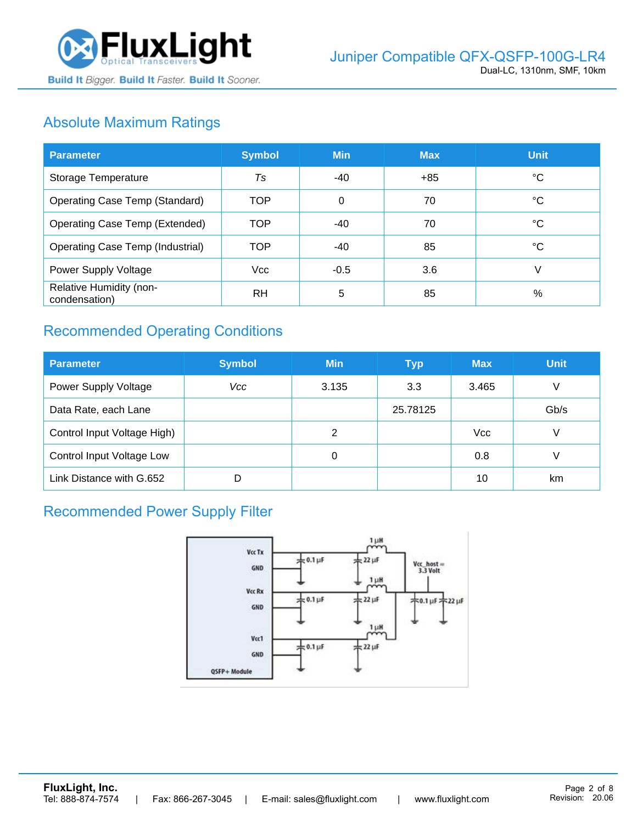

# Absolute Maximum Ratings

| <b>Parameter</b>                         | <b>Symbol</b> | <b>Min</b> | <b>Max</b> | <b>Unit</b> |
|------------------------------------------|---------------|------------|------------|-------------|
| Storage Temperature                      | Ts            | -40        | $+85$      | ℃           |
| <b>Operating Case Temp (Standard)</b>    | <b>TOP</b>    | 0          | 70         | °C          |
| <b>Operating Case Temp (Extended)</b>    | <b>TOP</b>    | $-40$      | 70         | °C          |
| <b>Operating Case Temp (Industrial)</b>  | <b>TOP</b>    | -40        | 85         | °C          |
| Power Supply Voltage                     | Vcc           | $-0.5$     | 3.6        | V           |
| Relative Humidity (non-<br>condensation) | <b>RH</b>     | 5          | 85         | %           |

# Recommended Operating Conditions

| <b>Parameter</b>            | <b>Symbol</b> | <b>Min</b> | <b>Typ</b> | <b>Max</b> | <b>Unit</b> |
|-----------------------------|---------------|------------|------------|------------|-------------|
| <b>Power Supply Voltage</b> | Vcc           | 3.135      | 3.3        | 3.465      | V           |
| Data Rate, each Lane        |               |            | 25.78125   |            | Gb/s        |
| Control Input Voltage High) |               | 2          |            | <b>Vcc</b> | V           |
| Control Input Voltage Low   |               | 0          |            | 0.8        |             |
| Link Distance with G.652    | D             |            |            | 10         | km          |

# Recommended Power Supply Filter

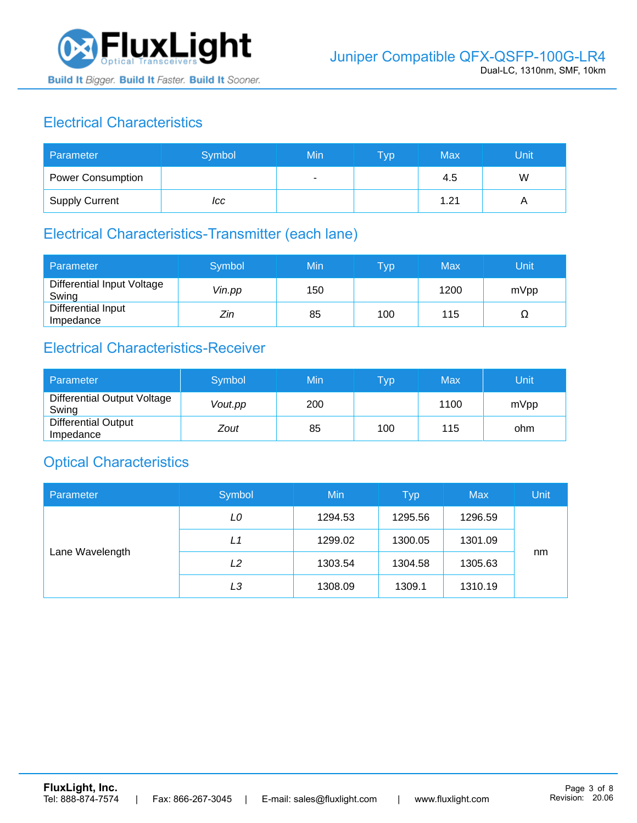

# Electrical Characteristics

| Parameter                | Symbol | Min | <b>Typ</b> | Max  | Unit |
|--------------------------|--------|-----|------------|------|------|
| <b>Power Consumption</b> |        | ۰   |            | 4.5  | W    |
| <b>Supply Current</b>    | ICC    |     |            | 1.21 |      |

### Electrical Characteristics-Transmitter (each lane)

| Parameter                           | Symbol | Min | $\overline{\mathsf{T}}\mathsf{y}\mathsf{p}$ | Max  | Unit |
|-------------------------------------|--------|-----|---------------------------------------------|------|------|
| Differential Input Voltage<br>Swing | Vin.pp | 150 |                                             | 1200 | mVpp |
| Differential Input<br>Impedance     | Zin    | 85  | 100                                         | 115  | 77   |

## Electrical Characteristics-Receiver

| Parameter                               | Symbol  | Min | Typ | Max  | Unit |
|-----------------------------------------|---------|-----|-----|------|------|
| Differential Output Voltage<br>Swing    | Vout.pp | 200 |     | 1100 | mVpp |
| <b>Differential Output</b><br>Impedance | Zout    | 85  | 100 | 115  | ohm  |

### Optical Characteristics

| Parameter       | Symbol | Min     | <b>Typ</b> | <b>Max</b> | Unit |
|-----------------|--------|---------|------------|------------|------|
| Lane Wavelength | LO     | 1294.53 | 1295.56    | 1296.59    |      |
|                 | L1     | 1299.02 | 1300.05    | 1301.09    |      |
|                 | L2     | 1303.54 | 1304.58    | 1305.63    | nm   |
|                 | LЗ     | 1308.09 | 1309.1     | 1310.19    |      |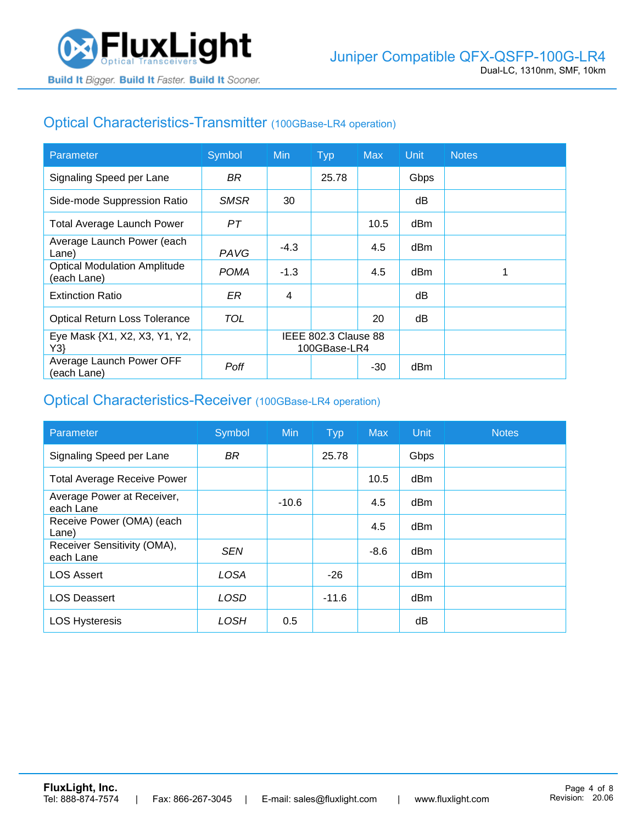

## Optical Characteristics-Transmitter (100GBase-LR4 operation)

| Parameter                                          | Symbol      | <b>Min</b>                           | <b>Typ</b> | <b>Max</b> | <b>Unit</b> | <b>Notes</b> |
|----------------------------------------------------|-------------|--------------------------------------|------------|------------|-------------|--------------|
| Signaling Speed per Lane                           | BR.         |                                      | 25.78      |            | Gbps        |              |
| Side-mode Suppression Ratio                        | <b>SMSR</b> | 30                                   |            |            | dB          |              |
| <b>Total Average Launch Power</b>                  | PT          |                                      |            | 10.5       | dBm         |              |
| Average Launch Power (each<br>Lane)                | PAVG        | $-4.3$                               |            | 4.5        | dBm         |              |
| <b>Optical Modulation Amplitude</b><br>(each Lane) | <b>POMA</b> | $-1.3$                               |            | 4.5        | dBm         |              |
| <b>Extinction Ratio</b>                            | ER          | 4                                    |            |            | dВ          |              |
| <b>Optical Return Loss Tolerance</b>               | TOL         |                                      |            | 20         | dB          |              |
| Eye Mask {X1, X2, X3, Y1, Y2,<br>Y3                |             | IEEE 802.3 Clause 88<br>100GBase-LR4 |            |            |             |              |
| Average Launch Power OFF<br>(each Lane)            | Poff        |                                      |            | $-30$      | dBm         |              |

#### Optical Characteristics-Receiver (100GBase-LR4 operation)

| Parameter                                | Symbol      | <b>Min</b> | <b>Typ</b> | <b>Max</b> | Unit            | <b>Notes</b> |
|------------------------------------------|-------------|------------|------------|------------|-----------------|--------------|
| Signaling Speed per Lane                 | <b>BR</b>   |            | 25.78      |            | Gbps            |              |
| <b>Total Average Receive Power</b>       |             |            |            | 10.5       | dBm             |              |
| Average Power at Receiver,<br>each Lane  |             | $-10.6$    |            | 4.5        | dBm             |              |
| Receive Power (OMA) (each<br>Lane)       |             |            |            | 4.5        | dBm             |              |
| Receiver Sensitivity (OMA),<br>each Lane | <b>SEN</b>  |            |            | $-8.6$     | d <sub>Bm</sub> |              |
| <b>LOS Assert</b>                        | <b>LOSA</b> |            | $-26$      |            | d <sub>Bm</sub> |              |
| <b>LOS Deassert</b>                      | <b>LOSD</b> |            | $-11.6$    |            | d <sub>Bm</sub> |              |
| <b>LOS Hysteresis</b>                    | LOSH        | 0.5        |            |            | dB              |              |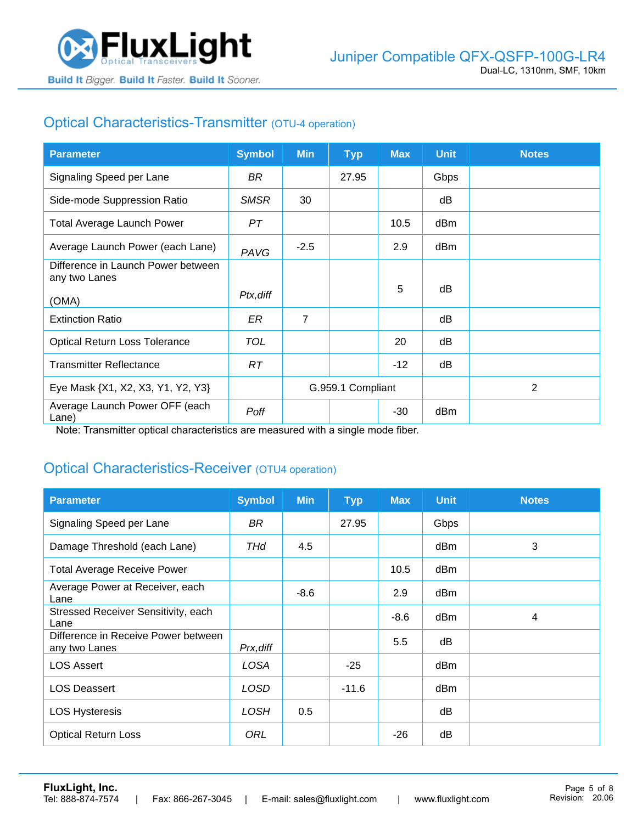

## Optical Characteristics-Transmitter (OTU-4 operation)

| <b>Parameter</b>                                    | <b>Symbol</b> | <b>Min</b>        | <b>Typ</b> | <b>Max</b> | <b>Unit</b> | <b>Notes</b> |
|-----------------------------------------------------|---------------|-------------------|------------|------------|-------------|--------------|
| Signaling Speed per Lane                            | BR.           |                   | 27.95      |            | Gbps        |              |
| Side-mode Suppression Ratio                         | <b>SMSR</b>   | 30                |            |            | dB          |              |
| <b>Total Average Launch Power</b>                   | PT            |                   |            | 10.5       | dBm         |              |
| Average Launch Power (each Lane)                    | PAVG          | $-2.5$            |            | 2.9        | dBm         |              |
| Difference in Launch Power between<br>any two Lanes |               |                   |            |            |             |              |
| (OMA)                                               | Ptx, diff     |                   |            | 5          | dB          |              |
| <b>Extinction Ratio</b>                             | ER            | $\overline{7}$    |            |            | dB          |              |
| <b>Optical Return Loss Tolerance</b>                | <b>TOL</b>    |                   |            | 20         | dB          |              |
| <b>Transmitter Reflectance</b>                      | RT.           |                   |            | $-12$      | dB          |              |
| Eye Mask {X1, X2, X3, Y1, Y2, Y3}                   |               | G.959.1 Compliant |            |            |             | 2            |
| Average Launch Power OFF (each<br>Lane)             | Poff          |                   |            | $-30$      | dBm         |              |

Note: Transmitter optical characteristics are measured with a single mode fiber.

### Optical Characteristics-Receiver (OTU4 operation)

| <b>Parameter</b>                                     | <b>Symbol</b> | <b>Min</b> | <b>Typ</b> | <b>Max</b> | <b>Unit</b> | <b>Notes</b> |
|------------------------------------------------------|---------------|------------|------------|------------|-------------|--------------|
| Signaling Speed per Lane                             | BR            |            | 27.95      |            | Gbps        |              |
| Damage Threshold (each Lane)                         | THd           | 4.5        |            |            | dBm         | 3            |
| <b>Total Average Receive Power</b>                   |               |            |            | 10.5       | dBm         |              |
| Average Power at Receiver, each<br>Lane              |               | $-8.6$     |            | 2.9        | dBm         |              |
| Stressed Receiver Sensitivity, each<br>Lane          |               |            |            | $-8.6$     | dBm         | 4            |
| Difference in Receive Power between<br>any two Lanes | Prx, diff     |            |            | 5.5        | dB          |              |
| <b>LOS Assert</b>                                    | LOSA          |            | $-25$      |            | dBm         |              |
| <b>LOS Deassert</b>                                  | LOSD          |            | $-11.6$    |            | dBm         |              |
| <b>LOS Hysteresis</b>                                | <b>LOSH</b>   | 0.5        |            |            | dB          |              |
| <b>Optical Return Loss</b>                           | ORL           |            |            | $-26$      | dB          |              |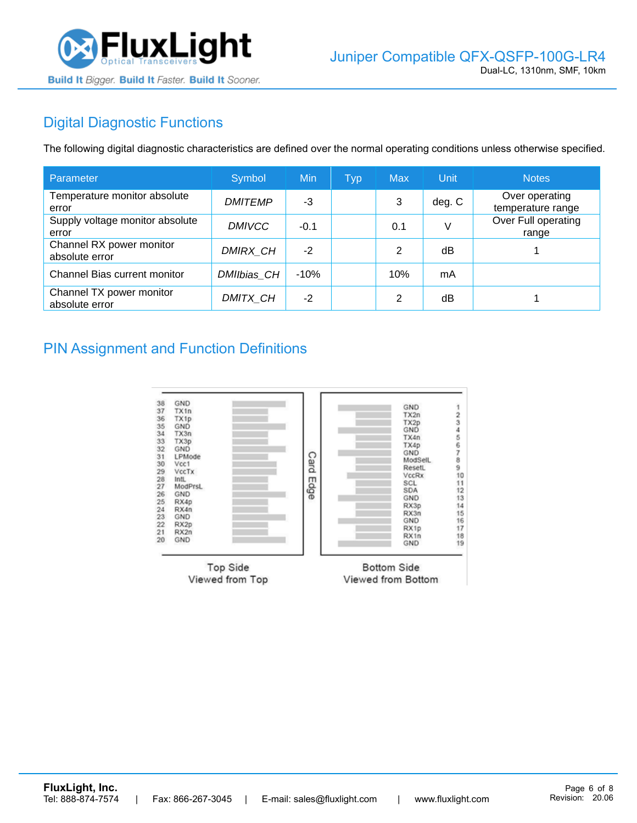

# Digital Diagnostic Functions

The following digital diagnostic characteristics are defined over the normal operating conditions unless otherwise specified.

| Parameter                                  | Symbol         | Min    | <b>Typ</b> | <b>Max</b>     | Unit   | <b>Notes</b>                        |
|--------------------------------------------|----------------|--------|------------|----------------|--------|-------------------------------------|
| Temperature monitor absolute<br>error      | <b>DMITEMP</b> | -3     |            | 3              | deg. C | Over operating<br>temperature range |
| Supply voltage monitor absolute<br>error   | <b>DMIVCC</b>  | $-0.1$ |            | 0.1            | V      | Over Full operating<br>range        |
| Channel RX power monitor<br>absolute error | DMIRX_CH       | $-2$   |            | 2              | dB     |                                     |
| Channel Bias current monitor               | DMIIbias_CH    | $-10%$ |            | 10%            | mA     |                                     |
| Channel TX power monitor<br>absolute error | DMITX_CH       | $-2$   |            | $\mathfrak{p}$ | dB     |                                     |

### PIN Assignment and Function Definitions

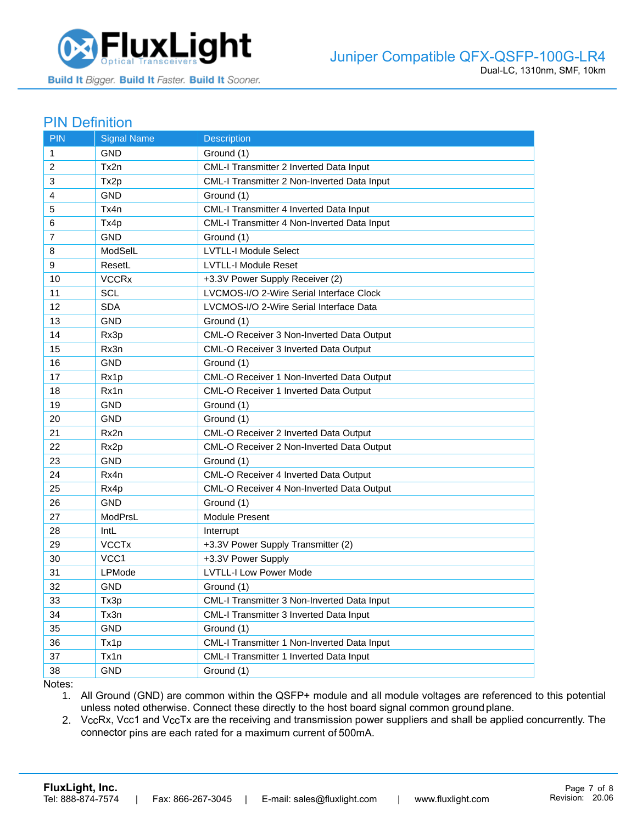

#### PIN Definition

| <b>PIN</b>   | <b>Signal Name</b> | <b>Description</b>                             |
|--------------|--------------------|------------------------------------------------|
| $\mathbf{1}$ | GND                | Ground (1)                                     |
| 2            | Tx2n               | CML-I Transmitter 2 Inverted Data Input        |
| 3            | Tx2p               | CML-I Transmitter 2 Non-Inverted Data Input    |
| 4            | <b>GND</b>         | Ground (1)                                     |
| 5            | Tx4n               | CML-I Transmitter 4 Inverted Data Input        |
| 6            | Tx4p               | CML-I Transmitter 4 Non-Inverted Data Input    |
| 7            | <b>GND</b>         | Ground (1)                                     |
| 8            | ModSelL            | <b>LVTLL-I Module Select</b>                   |
| 9            | ResetL             | <b>LVTLL-I Module Reset</b>                    |
| 10           | <b>VCCRx</b>       | +3.3V Power Supply Receiver (2)                |
| 11           | SCL                | LVCMOS-I/O 2-Wire Serial Interface Clock       |
| 12           | <b>SDA</b>         | LVCMOS-I/O 2-Wire Serial Interface Data        |
| 13           | <b>GND</b>         | Ground (1)                                     |
| 14           | Rx3p               | CML-O Receiver 3 Non-Inverted Data Output      |
| 15           | Rx3n               | CML-O Receiver 3 Inverted Data Output          |
| 16           | <b>GND</b>         | Ground (1)                                     |
| 17           | Rx1p               | CML-O Receiver 1 Non-Inverted Data Output      |
| 18           | Rx1n               | CML-O Receiver 1 Inverted Data Output          |
| 19           | <b>GND</b>         | Ground (1)                                     |
| 20           | <b>GND</b>         | Ground (1)                                     |
| 21           | Rx2n               | <b>CML-O Receiver 2 Inverted Data Output</b>   |
| 22           | Rx2p               | CML-O Receiver 2 Non-Inverted Data Output      |
| 23           | <b>GND</b>         | Ground (1)                                     |
| 24           | Rx4n               | CML-O Receiver 4 Inverted Data Output          |
| 25           | Rx4p               | CML-O Receiver 4 Non-Inverted Data Output      |
| 26           | <b>GND</b>         | Ground (1)                                     |
| 27           | ModPrsL            | Module Present                                 |
| 28           | IntL               | Interrupt                                      |
| 29           | <b>VCCTx</b>       | +3.3V Power Supply Transmitter (2)             |
| 30           | VCC1               | +3.3V Power Supply                             |
| 31           | LPMode             | <b>LVTLL-I Low Power Mode</b>                  |
| 32           | <b>GND</b>         | Ground (1)                                     |
| 33           | Tx3p               | CML-I Transmitter 3 Non-Inverted Data Input    |
| 34           | Tx3n               | <b>CML-I Transmitter 3 Inverted Data Input</b> |
| 35           | <b>GND</b>         | Ground (1)                                     |
| 36           | Tx1p               | CML-I Transmitter 1 Non-Inverted Data Input    |
| 37           | Tx1n               | CML-I Transmitter 1 Inverted Data Input        |
| 38           | <b>GND</b>         | Ground (1)                                     |

Notes:

1. All Ground (GND) are common within the QSFP+ module and all module voltages are referenced to this potential unless noted otherwise. Connect these directly to the host board signal common ground plane.

2. VccRx, Vcc1 and VccTx are the receiving and transmission power suppliers and shall be applied concurrently. The connector pins are each rated for a maximum current of 500mA.